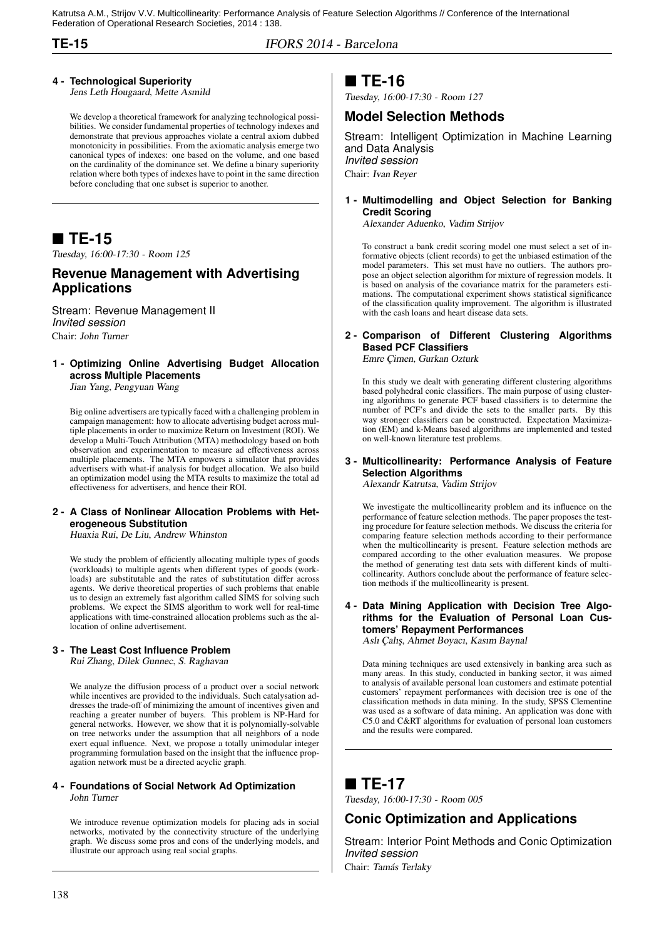Katrutsa A.M., Strijov V.V. Multicollinearity: Performance Analysis of Feature Selection Algorithms // Conference of the International Federation of Operational Research Societies, 2014 : 138.

**TE-15** IFORS 2014 - Barcelona

#### **4 - Technological Superiority**

Jens Leth Hougaard, Mette Asmild

We develop a theoretical framework for analyzing technological possibilities. We consider fundamental properties of technology indexes and demonstrate that previous approaches violate a central axiom dubbed monotonicity in possibilities. From the axiomatic analysis emerge two canonical types of indexes: one based on the volume, and one based on the cardinality of the dominance set. We define a binary superiority relation where both types of indexes have to point in the same direction before concluding that one subset is superior to another.

### **TE-15**

Tuesday, 16:00-17:30 - Room 125

### **Revenue Management with Advertising Applications**

Stream: Revenue Management II *Invited session* Chair: John Turner

### **1 - Optimizing Online Advertising Budget Allocation across Multiple Placements**

Jian Yang, Pengyuan Wang

Big online advertisers are typically faced with a challenging problem in campaign management: how to allocate advertising budget across multiple placements in order to maximize Return on Investment (ROI). We develop a Multi-Touch Attribution (MTA) methodology based on both observation and experimentation to measure ad effectiveness across multiple placements. The MTA empowers a simulator that provides advertisers with what-if analysis for budget allocation. We also build an optimization model using the MTA results to maximize the total ad effectiveness for advertisers, and hence their ROI.

#### **2 - A Class of Nonlinear Allocation Problems with Heterogeneous Substitution**

Huaxia Rui, De Liu, Andrew Whinston

We study the problem of efficiently allocating multiple types of goods (workloads) to multiple agents when different types of goods (workloads) are substitutable and the rates of substitutation differ across agents. We derive theoretical properties of such problems that enable us to design an extremely fast algorithm called SIMS for solving such problems. We expect the SIMS algorithm to work well for real-time applications with time-constrained allocation problems such as the allocation of online advertisement.

#### **3 - The Least Cost Influence Problem**

Rui Zhang, Dilek Gunnec, S. Raghavan

We analyze the diffusion process of a product over a social network while incentives are provided to the individuals. Such catalysation addresses the trade-off of minimizing the amount of incentives given and reaching a greater number of buyers. This problem is NP-Hard for general networks. However, we show that it is polynomially-solvable on tree networks under the assumption that all neighbors of a node exert equal influence. Next, we propose a totally unimodular integer programming formulation based on the insight that the influence propagation network must be a directed acyclic graph.

#### **4 - Foundations of Social Network Ad Optimization** John Turner

We introduce revenue optimization models for placing ads in social networks, motivated by the connectivity structure of the underlying graph. We discuss some pros and cons of the underlying models, and illustrate our approach using real social graphs.

### **TE-16**

Tuesday, 16:00-17:30 - Room 127

#### **Model Selection Methods**

Stream: Intelligent Optimization in Machine Learning and Data Analysis *Invited session* Chair: Ivan Reyer

#### **1 - Multimodelling and Object Selection for Banking Credit Scoring**

Alexander Aduenko, Vadim Strijov

To construct a bank credit scoring model one must select a set of informative objects (client records) to get the unbiased estimation of the model parameters. This set must have no outliers. The authors propose an object selection algorithm for mixture of regression models. It is based on analysis of the covariance matrix for the parameters estimations. The computational experiment shows statistical significance of the classification quality improvement. The algorithm is illustrated with the cash loans and heart disease data sets.

#### **2 - Comparison of Different Clustering Algorithms Based PCF Classifiers** Emre Çimen, Gurkan Ozturk

In this study we dealt with generating different clustering algorithms based polyhedral conic classifiers. The main purpose of using clustering algorithms to generate PCF based classifiers is to determine the number of PCF's and divide the sets to the smaller parts. By this way stronger classifiers can be constructed. Expectation Maximization (EM) and k-Means based algorithms are implemented and tested on well-known literature test problems.

#### **3 - Multicollinearity: Performance Analysis of Feature Selection Algorithms**

Alexandr Katrutsa, Vadim Strijov

We investigate the multicollinearity problem and its influence on the performance of feature selection methods. The paper proposes the testing procedure for feature selection methods. We discuss the criteria for comparing feature selection methods according to their performance when the multicollinearity is present. Feature selection methods are compared according to the other evaluation measures. We propose the method of generating test data sets with different kinds of multicollinearity. Authors conclude about the performance of feature selection methods if the multicollinearity is present.

### **4 - Data Mining Application with Decision Tree Algorithms for the Evaluation of Personal Loan Customers' Repayment Performances**

Aslı Çalış, Ahmet Boyacı, Kasım Baynal

Data mining techniques are used extensively in banking area such as many areas. In this study, conducted in banking sector, it was aimed to analysis of available personal loan customers and estimate potential customers' repayment performances with decision tree is one of the classification methods in data mining. In the study, SPSS Clementine was used as a software of data mining. An application was done with C5.0 and C&RT algorithms for evaluation of personal loan customers and the results were compared.

### ■ TE-17

Tuesday, 16:00-17:30 - Room 005

### **Conic Optimization and Applications**

Stream: Interior Point Methods and Conic Optimization *Invited session*

Chair: Tamás Terlaky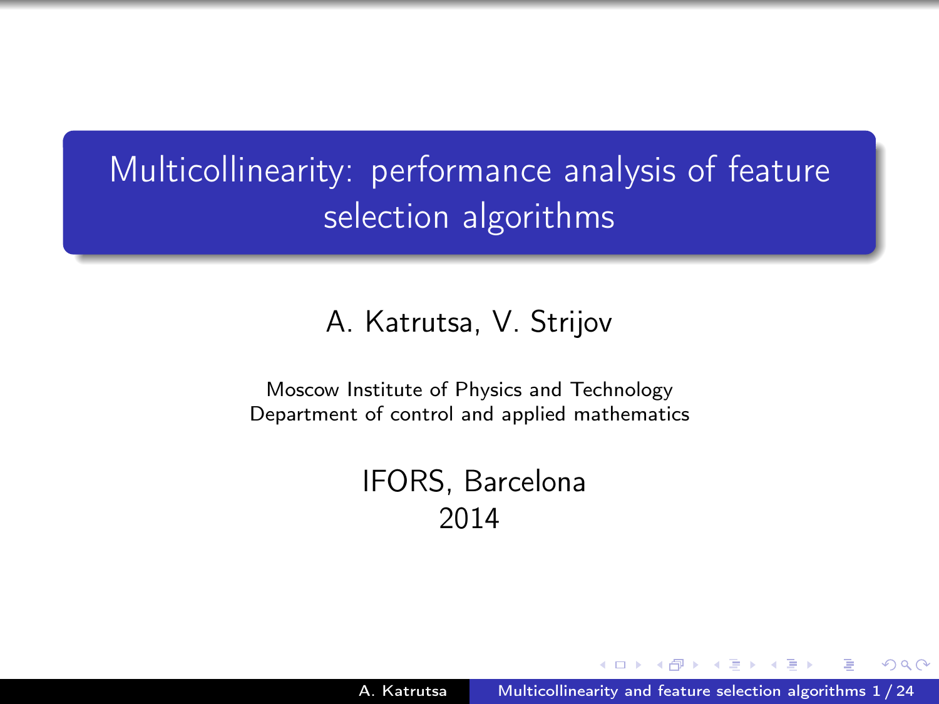Multicollinearity: performance analysis of feature selection algorithms

#### A. Katrutsa, V. Strijov

Moscow Institute of Physics and Technology Department of control and applied mathematics

> IFORS, Barcelona 2014

<span id="page-1-0"></span>つくへ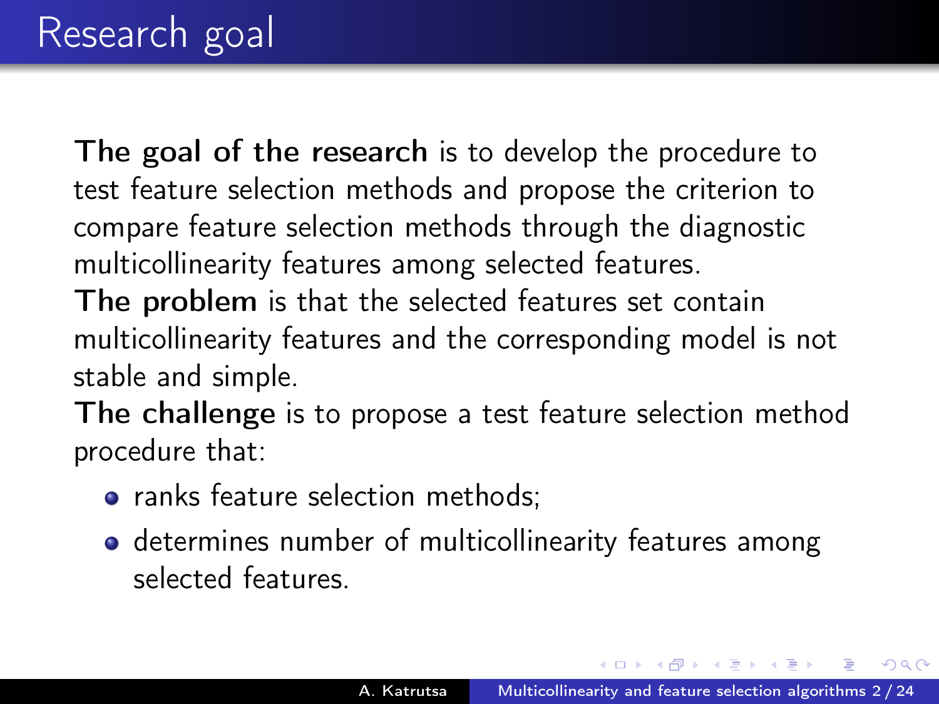The goal of the research is to develop the procedure to test feature selection methods and propose the criterion to compare feature selection methods through the diagnostic multicollinearity features among selected features.

The problem is that the selected features set contain multicollinearity features and the corresponding model is not stable and simple.

The challenge is to propose a test feature selection method procedure that:

- ranks feature selection methods:
- **o** determines number of multicollinearity features among selected features.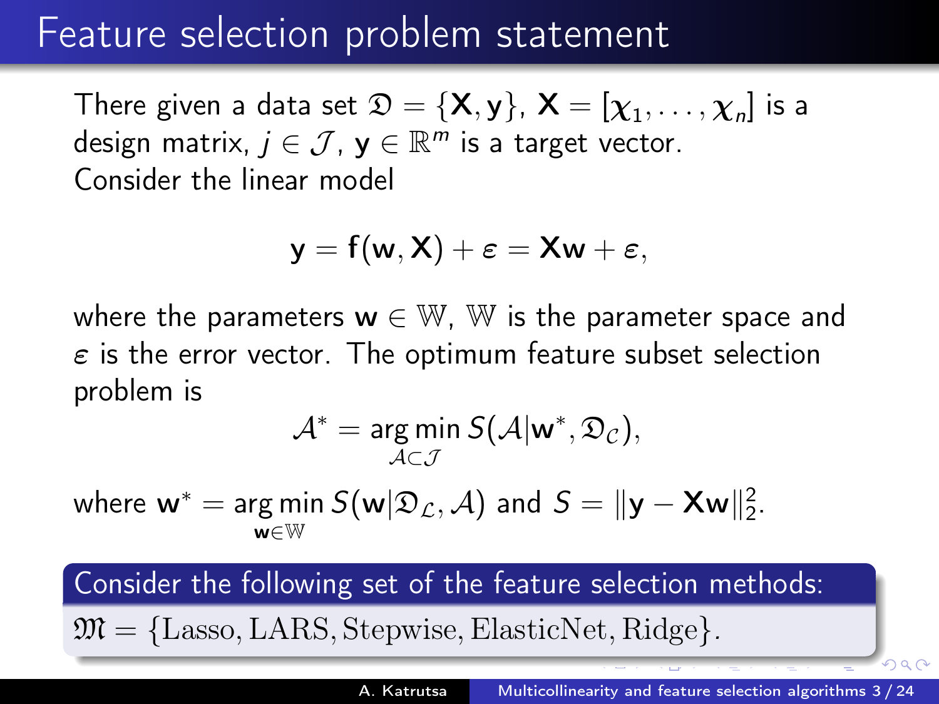### Feature selection problem statement

There given a data set  $\mathfrak{D} = \{\mathsf{X},\mathsf{y}\}$ ,  $\mathsf{X} = [\chi_1,\ldots,\chi_n]$  is a design matrix,  $j \in \mathcal{J}$ ,  $\mathbf{y} \in \mathbb{R}^m$  is a target vector. Consider the linear model

$$
y=f(w,X)+\varepsilon=Xw+\varepsilon,
$$

where the parameters  $w \in W$ . W is the parameter space and  $\varepsilon$  is the error vector. The optimum feature subset selection problem is

$$
\mathcal{A}^* = \argmin_{\mathcal{A} \subset \mathcal{J}} S(\mathcal{A}|\mathbf{w}^*, \mathfrak{D}_{\mathcal{C}}),
$$

where  $\mathsf{w}^{*} = \argmin_{\mathsf{w} \in \mathbb{N}^N} S(\mathsf{w} | \mathfrak{D}_\mathcal{L}, \mathcal{A})$  and  $S = \|\mathsf{y} - \mathsf{X}\mathsf{w}\|_2^2$ . w∈W

Consider the following set of the feature selection methods:

 $\mathfrak{M} = \{\text{Lasso}, \text{LARS}, \text{Stepwise}, \text{ElasticNet}, \text{Ridge}\}.$  $\mathfrak{M} = \{\text{Lasso}, \text{LARS}, \text{Stepwise}, \text{ElasticNet}, \text{Ridge}\}.$  $\mathfrak{M} = \{\text{Lasso}, \text{LARS}, \text{Stepwise}, \text{ElasticNet}, \text{Ridge}\}.$ 

 $\Omega$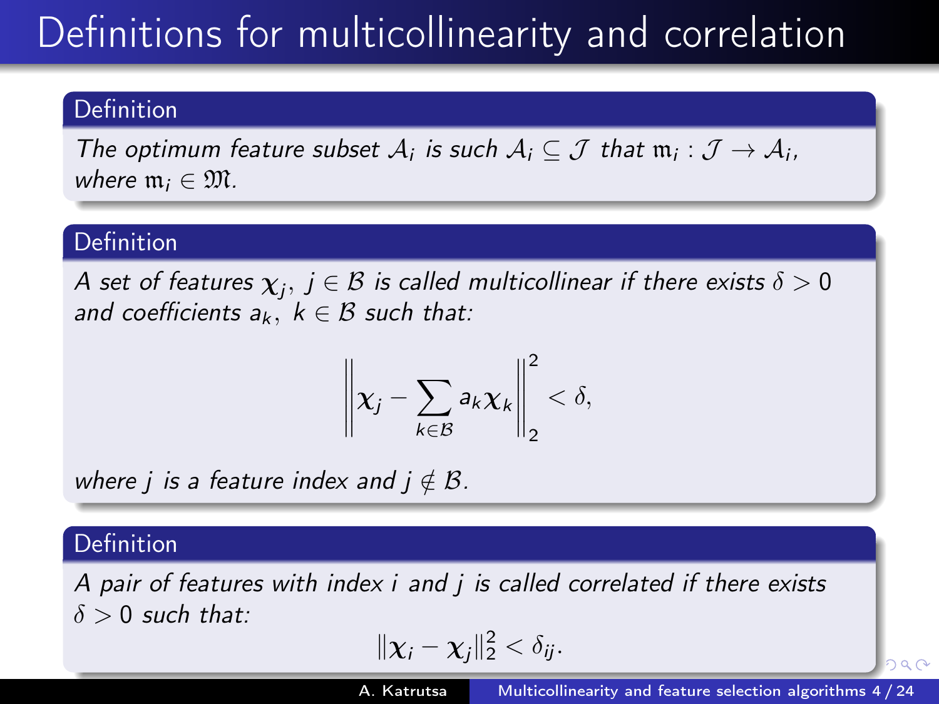# Definitions for multicollinearity and correlation

#### **Definition**

The optimum feature subset  $A_i$  is such  $A_i \subseteq \mathcal{J}$  that  $\mathfrak{m}_i : \mathcal{J} \to A_i$ , where  $\mathfrak{m}_i \in \mathfrak{M}$ .

#### Definition

A set of features  $\chi_j,\,j\in\mathcal{B}$  is called multicollinear if there exists  $\delta>0$ and coefficients  $a_k$ ,  $k \in \mathcal{B}$  such that:

$$
\left\|\boldsymbol{\chi}_j-\sum_{k\in\mathcal{B}}a_k\boldsymbol{\chi}_k\right\|_2^2<\delta,
$$

where *j* is a feature index and  $j \notin \mathcal{B}$ .

#### Definition

A pair of features with index i and j is called correlated if there exists  $\delta > 0$  such that:

$$
\|\boldsymbol{\chi}_i-\boldsymbol{\chi}_j\|_2^2<\delta_{ij}.
$$

<span id="page-4-0"></span> $290$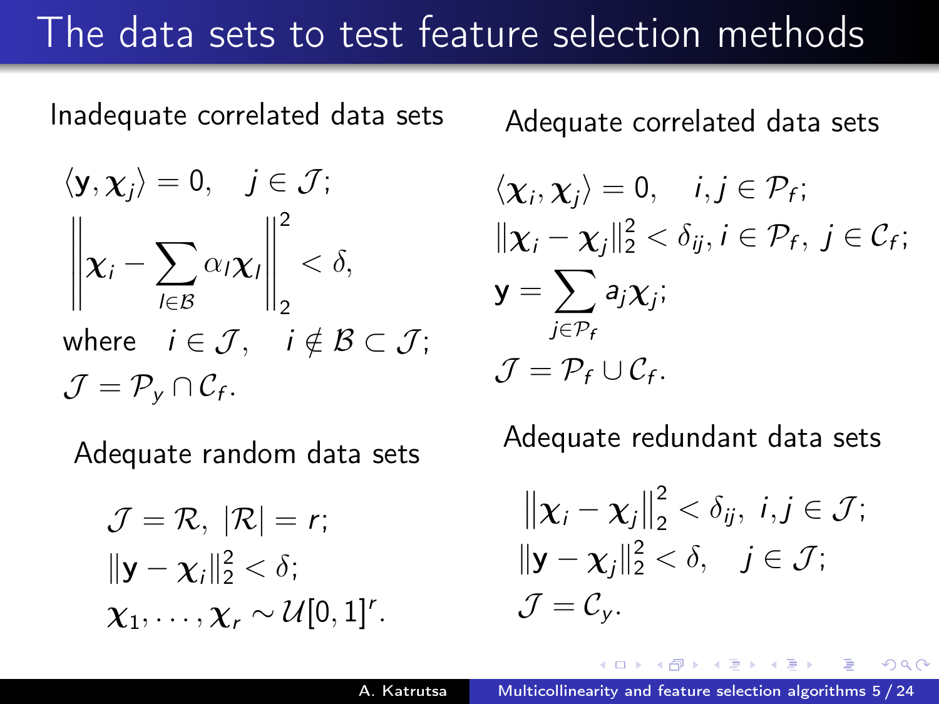### The data sets to test feature selection methods

Inadequate correlated data sets

$$
\langle \mathbf{y}, \boldsymbol{\chi}_j \rangle = 0, \quad j \in \mathcal{J};
$$

$$
\left\| \boldsymbol{\chi}_i - \sum_{l \in \mathcal{B}} \alpha_l \boldsymbol{\chi}_l \right\|_2^2 < \delta,
$$
  
where  $i \in \mathcal{J}, \quad i \notin \mathcal{B} \subset \mathcal{J};$ 
$$
\mathcal{J} = \mathcal{P}_{\mathcal{Y}} \cap \mathcal{C}_{f}.
$$

Adequate random data sets

$$
\mathcal{J} = \mathcal{R}, \ |\mathcal{R}| = r;
$$
  

$$
\|\mathbf{y} - \chi_i\|_2^2 < \delta;
$$
  

$$
\chi_1, \ldots, \chi_r \sim \mathcal{U}[0, 1]^r.
$$

Adequate correlated data sets

$$
\langle \chi_i, \chi_j \rangle = 0, \quad i, j \in \mathcal{P}_f; \|\chi_i - \chi_j\|_2^2 < \delta_{ij}, i \in \mathcal{P}_f, j \in \mathcal{C}_f; \mathbf{y} = \sum_{j \in \mathcal{P}_f} a_j \chi_j; \mathcal{J} = \mathcal{P}_f \cup \mathcal{C}_f.
$$

Adequate redundant data sets

$$
\|\mathbf{x}_i - \mathbf{x}_j\|_2^2 < \delta_{ij}, \ i, j \in \mathcal{J};
$$
  

$$
\|\mathbf{y} - \mathbf{x}_j\|_2^2 < \delta, \quad j \in \mathcal{J};
$$
  

$$
\mathcal{J} = \mathcal{C}_{\mathbf{y}}.
$$

 $\Omega$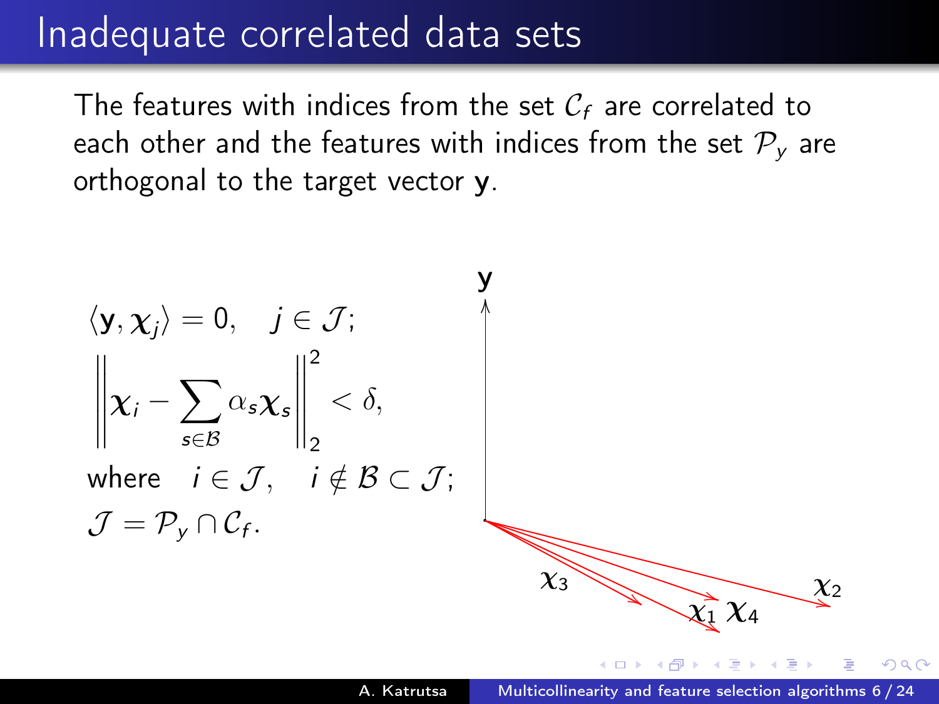### Inadequate correlated data sets

The features with indices from the set  $C_f$  are correlated to each other and the features with indices from the set  $P<sub>v</sub>$  are orthogonal to the target vector y.

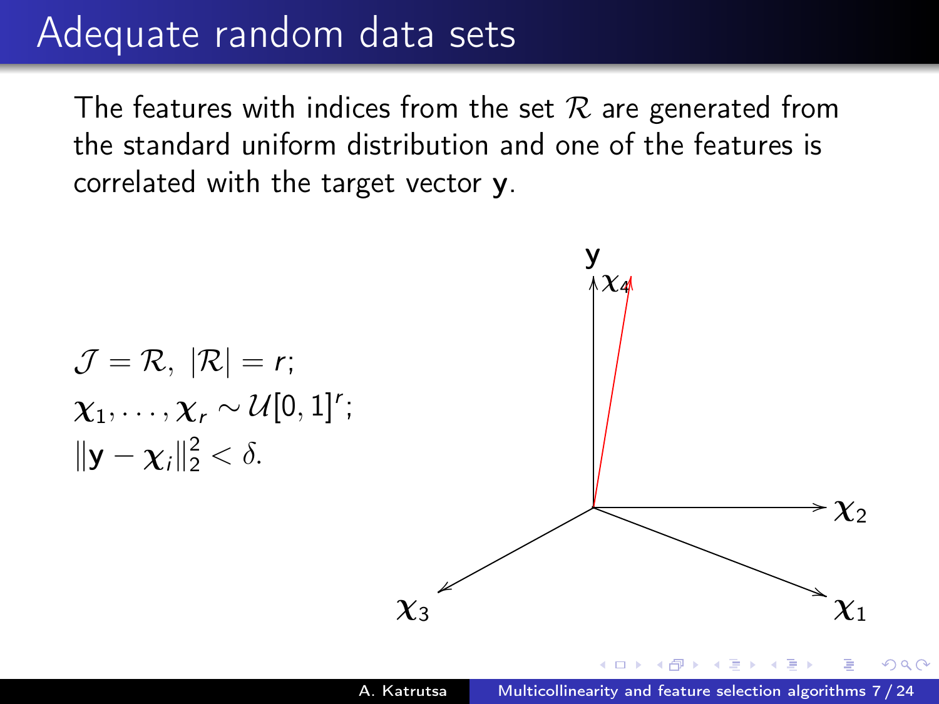### Adequate random data sets

The features with indices from the set  $\mathcal R$  are generated from the standard uniform distribution and one of the features is correlated with the target vector y.

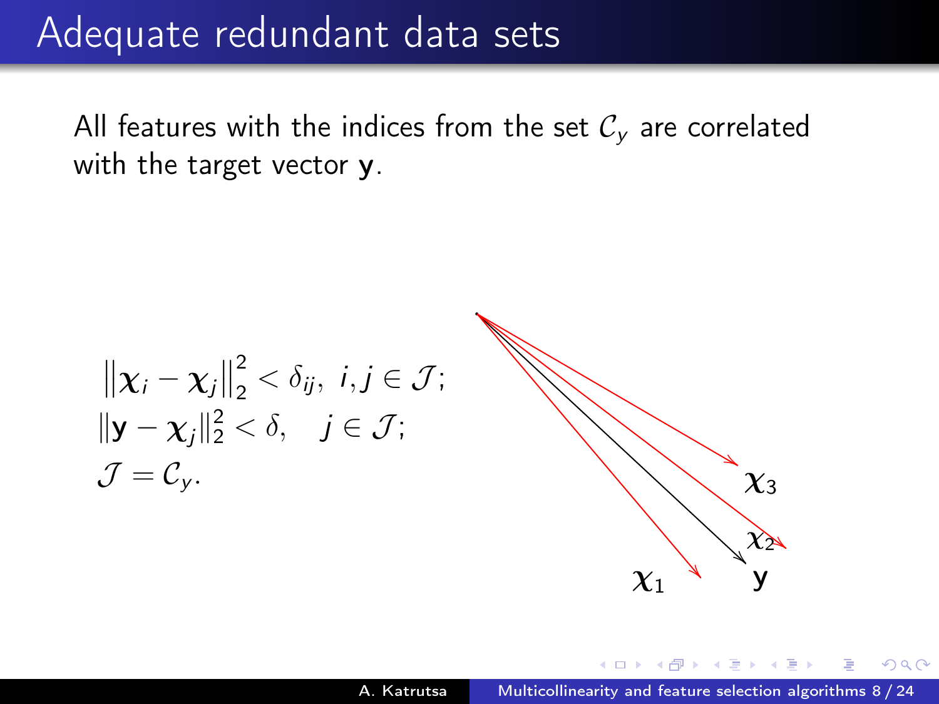### Adequate redundant data sets

All features with the indices from the set  $C_v$  are correlated with the target vector **y**.

$$
\begin{aligned}\n\|\mathbf{x}_i - \mathbf{x}_j\|_2^2 &< \delta_{ij}, \ i, j \in \mathcal{J}; \\
\|\mathbf{y} - \mathbf{x}_j\|_2^2 &< \delta, \quad j \in \mathcal{J}; \\
\mathcal{J} = \mathcal{C}_{\mathbf{y}}.\n\end{aligned}
$$

#

 $QQ$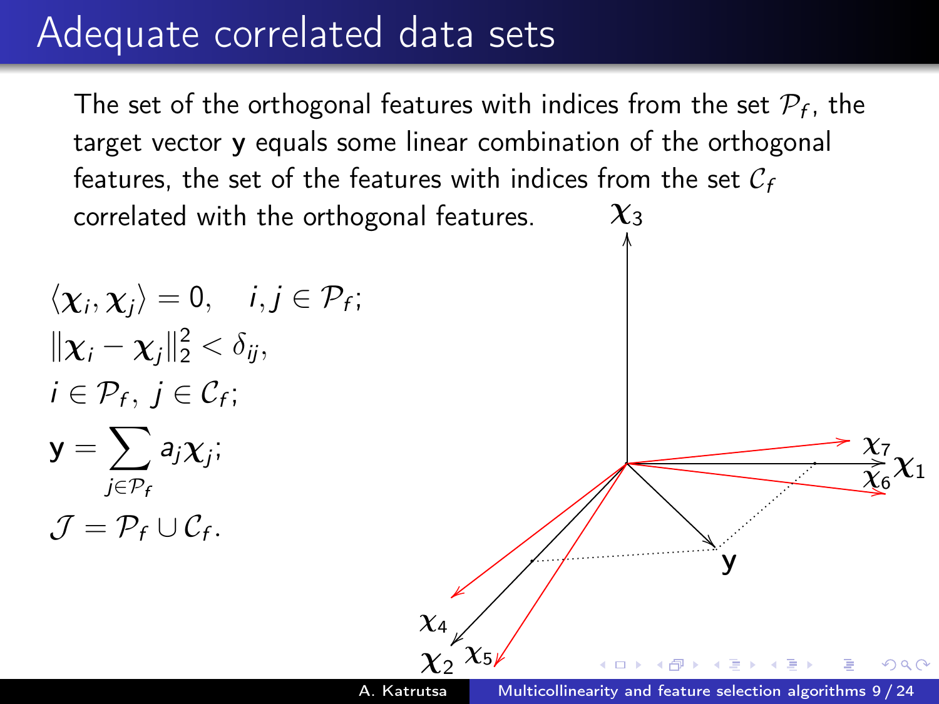### Adequate correlated data sets

The set of the orthogonal features with indices from the set  $\mathcal{P}_f$ , the target vector y equals some linear combination of the orthogonal features, the set of the features with indices from the set  $C_f$ correlated with the orthogonal features.  $\chi_3$ 

$$
\langle \chi_i, \chi_j \rangle = 0, \quad i, j \in \mathcal{P}_f; \|\chi_i - \chi_j\|_2^2 < \delta_{ij}, \ni \in \mathcal{P}_f, j \in \mathcal{C}_f; \mathbf{y} = \sum_{j \in \mathcal{P}_f} a_j \chi_j; \mathcal{J} = \mathcal{P}_f \cup \mathcal{C}_f.
$$

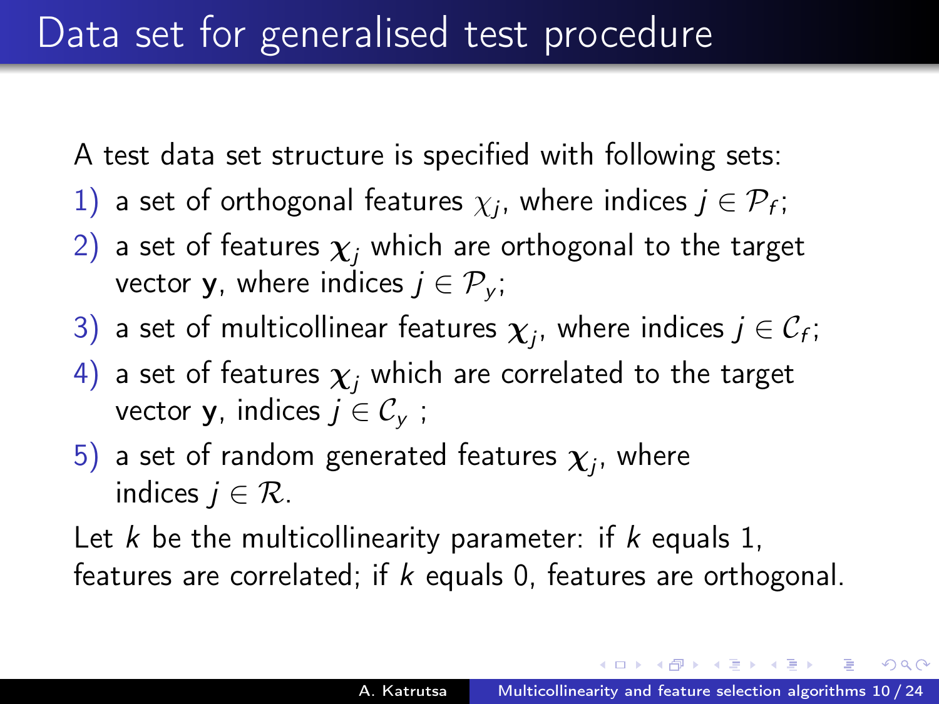A test data set structure is specified with following sets:

- 1) a set of orthogonal features  $\chi_j$ , where indices  $j \in \mathcal{P}_f$ ;
- 2) a set of features  $\chi_i$  which are orthogonal to the target vector **y**, where indices  $j \in \mathcal{P}_v$ ;
- 3) a set of multicollinear features  $\boldsymbol{\chi}_j$ , where indices  $j \in \mathcal{C}_f;$
- 4) a set of features  $\chi_i$  which are correlated to the target vector **y**, indices  $j \in \mathcal{C}_{\mathsf{v}}$ ;
- $5)$  a set of random generated features  $\boldsymbol{\chi}_j$ , where indices  $i \in \mathcal{R}$ .

Let  $k$  be the multicollinearity parameter: if  $k$  equals 1, features are correlated; if  $k$  equals 0, features are orthogonal.

←ロト (母) → (ヨ) → (ヨ) →

 $\Omega$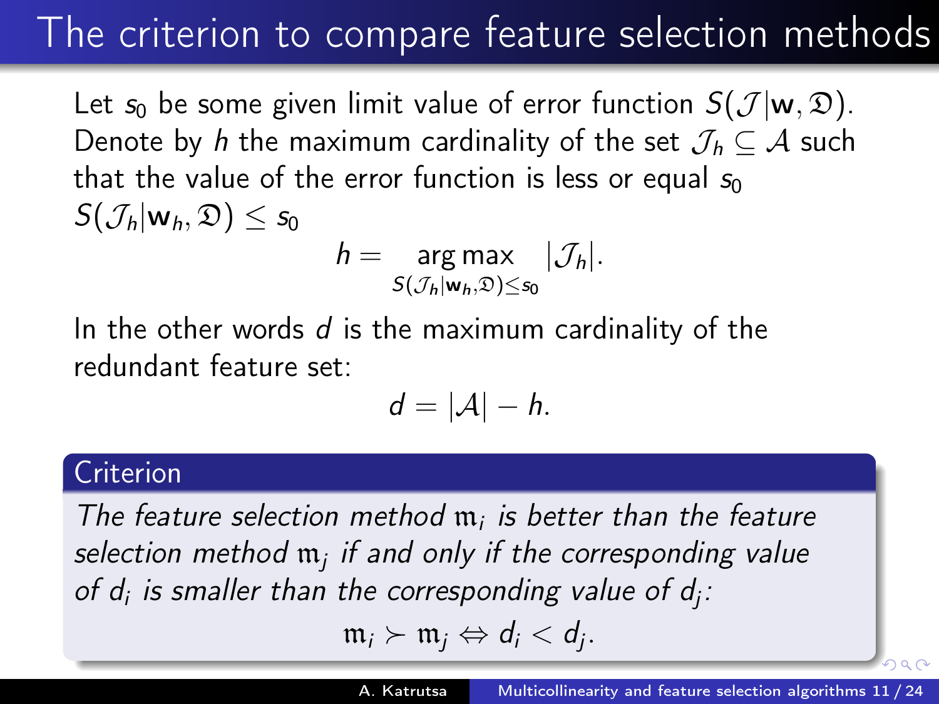## The criterion to compare feature selection methods

Let  $s_0$  be some given limit value of error function  $S(\mathcal{J} | \mathbf{w}, \mathfrak{D})$ . Denote by h the maximum cardinality of the set  $\mathcal{J}_h \subseteq \mathcal{A}$  such that the value of the error function is less or equal  $s_0$  $S(\mathcal{J}_h|\mathbf{w}_h,\mathfrak{D}) \leq s_0$  $h = \arg \max_{\mathcal{S} \in \mathcal{S}} |\mathcal{J}_h|.$ 

 $S(\mathcal{J}_h|\mathbf{w}_h,\mathfrak{D})\leq s_0$ 

In the other words  $d$  is the maximum cardinality of the redundant feature set:

$$
d=|\mathcal{A}|-h.
$$

#### Criterion

The feature selection method  $m_i$  is better than the feature selection method  $\mathfrak{m}_j$  if and only if the corresponding value of  $d_i$  is smaller than the corresponding value of  $d_j$ :

 $m_i \succ m_j \Leftrightarrow d_i < d_j$ .

 $\circ$   $\circ$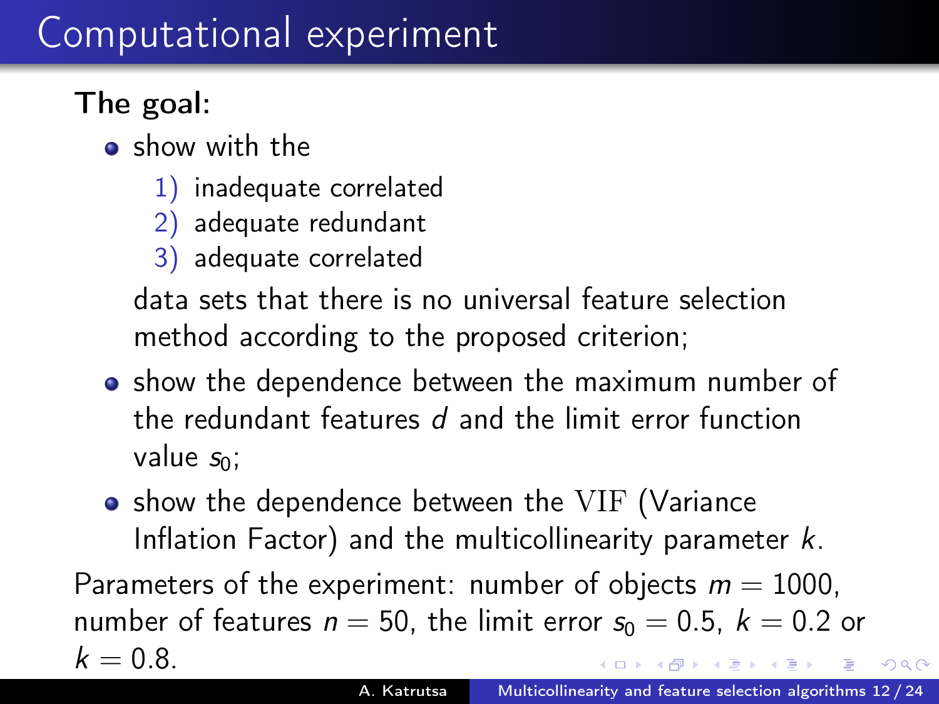### Computational experiment

### The goal:

- **•** show with the
	- 1) inadequate correlated
	- 2) adequate redundant
	- 3) adequate correlated

data sets that there is no universal feature selection method according to the proposed criterion;

- show the dependence between the maximum number of the redundant features d and the limit error function value  $s_0$ ;
- show the dependence between the VIF (Variance Inflation Factor) and the multicollinearity parameter  $k$ .

Parameters of the experiment: number of objects  $m = 1000$ . number of features  $n = 50$ , the limit error  $s_0 = 0.5$ ,  $k = 0.2$  or  $k = 0.8$  $\mathbb{R}^n \times \mathbb{R}^n \rightarrow \mathbb{R}^n \times \mathbb{R}^n$ 

つくい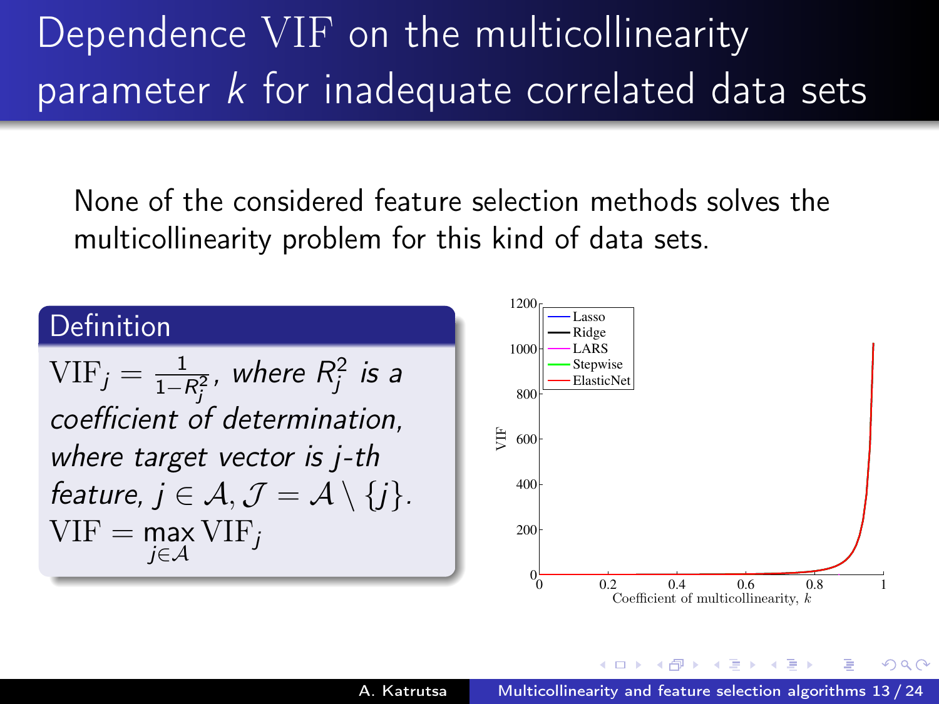# Dependence VIF on the multicollinearity parameter  $k$  for inadequate correlated data sets

None of the considered feature selection methods solves the multicollinearity problem for this kind of data sets.

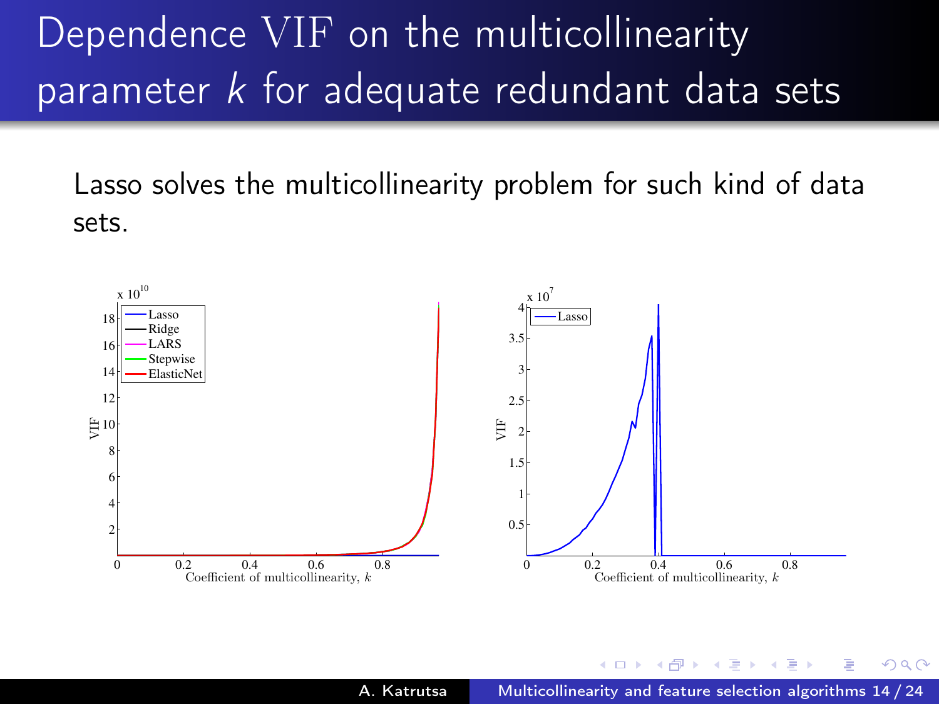# Dependence VIF on the multicollinearity parameter  $k$  for adequate redundant data sets

Lasso solves the multicollinearity problem for such kind of data sets.



<span id="page-14-0"></span>つくい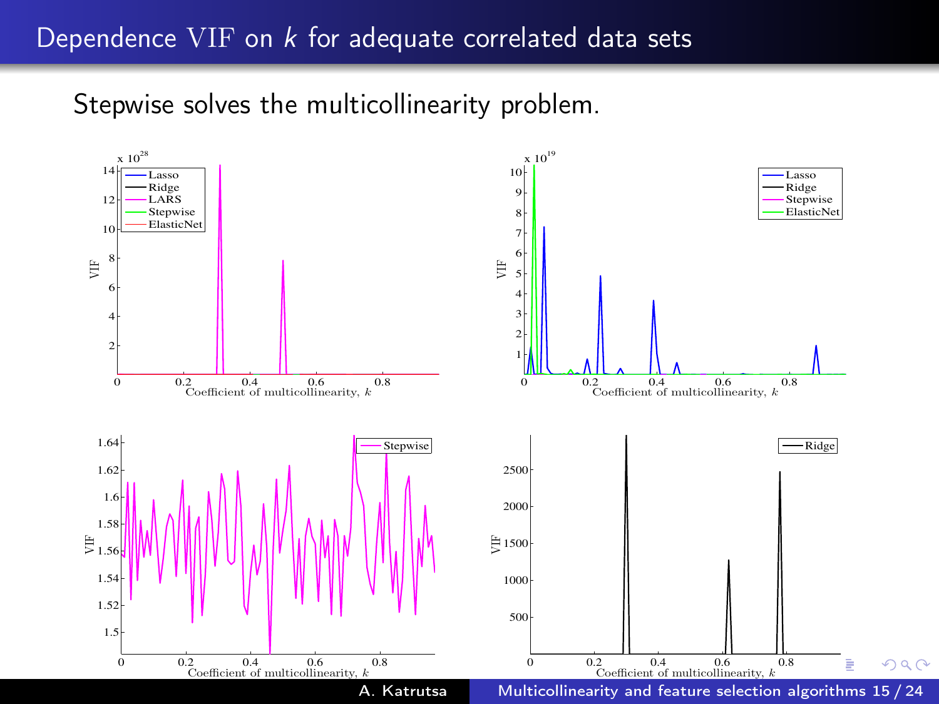#### Dependence VIF on k for adequate correlated data sets

Stepwise solves the multicollinearity problem.

<span id="page-15-0"></span>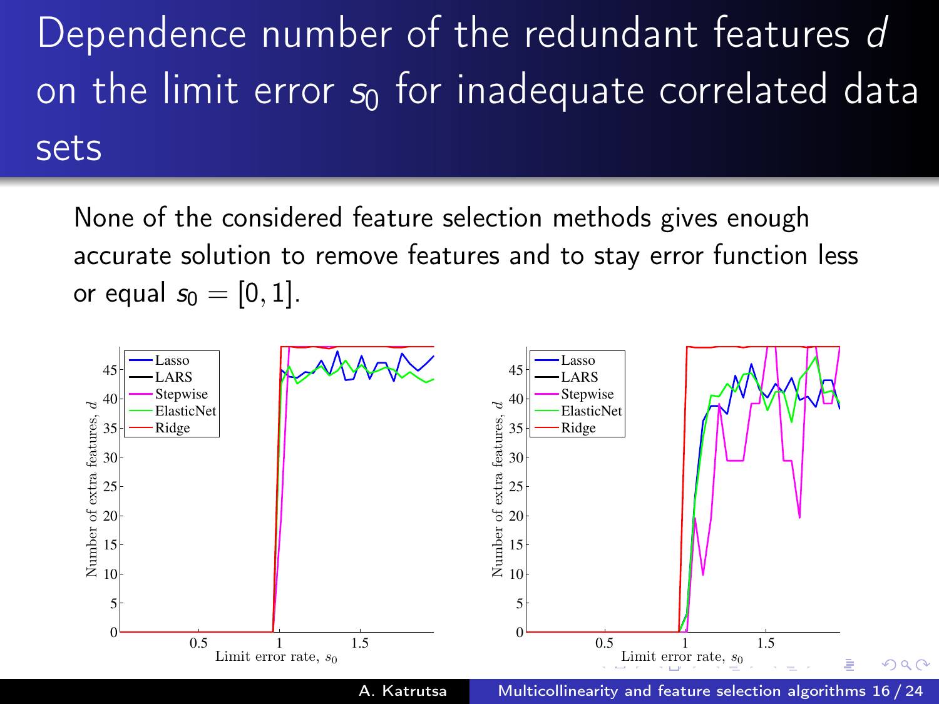Dependence number of the redundant features d on the limit error  $s_0$  for inadequate correlated data sets

None of the considered feature selection methods gives enough accurate solution to remove features and to stay error function less or equal  $s_0 = [0, 1]$ .



<span id="page-16-0"></span>A. Katrutsa [Multicollinearity and feature selection algorithms 16 / 24](#page-1-0)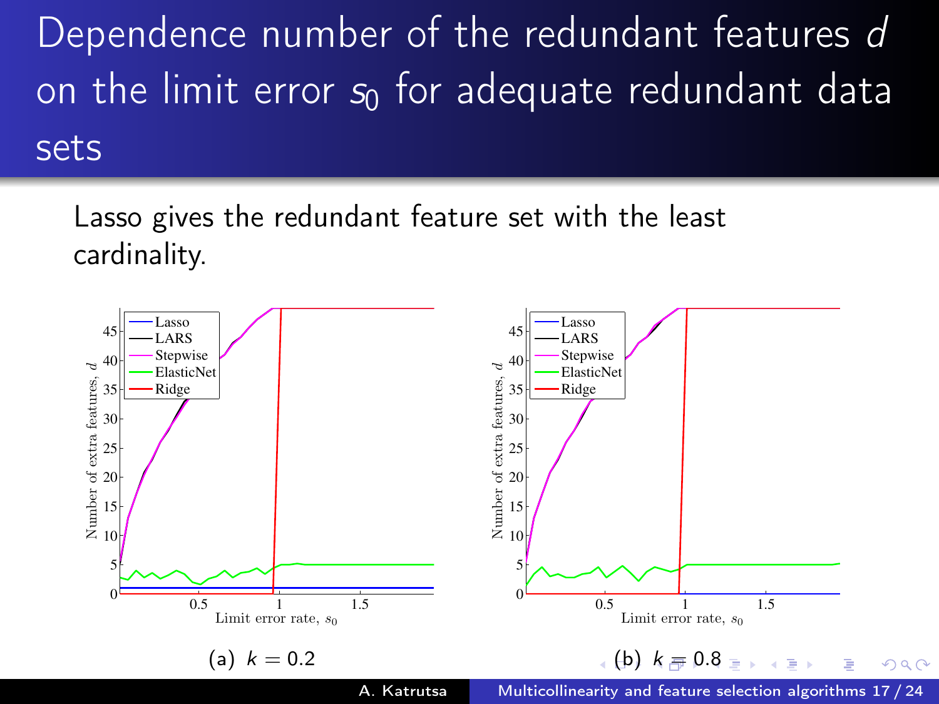Dependence number of the redundant features d on the limit error  $s_0$  for adequate redundant data sets

Lasso gives the redundant feature set with the least cardinality.

<span id="page-17-0"></span>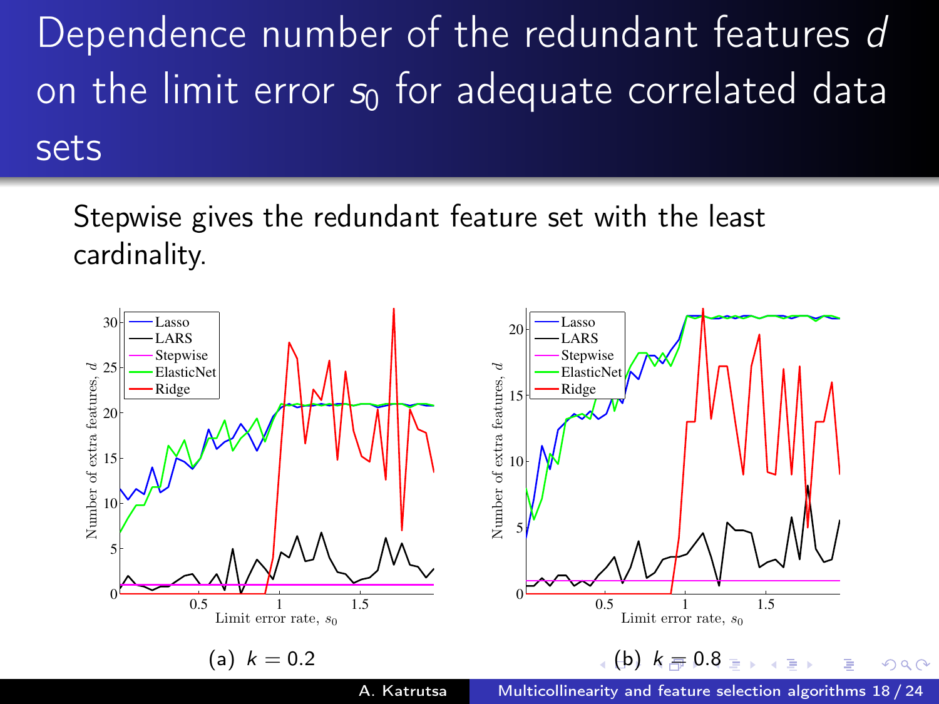Dependence number of the redundant features d on the limit error  $s_0$  for adequate correlated data sets

Stepwise gives the redundant feature set with the least cardinality.

<span id="page-18-0"></span>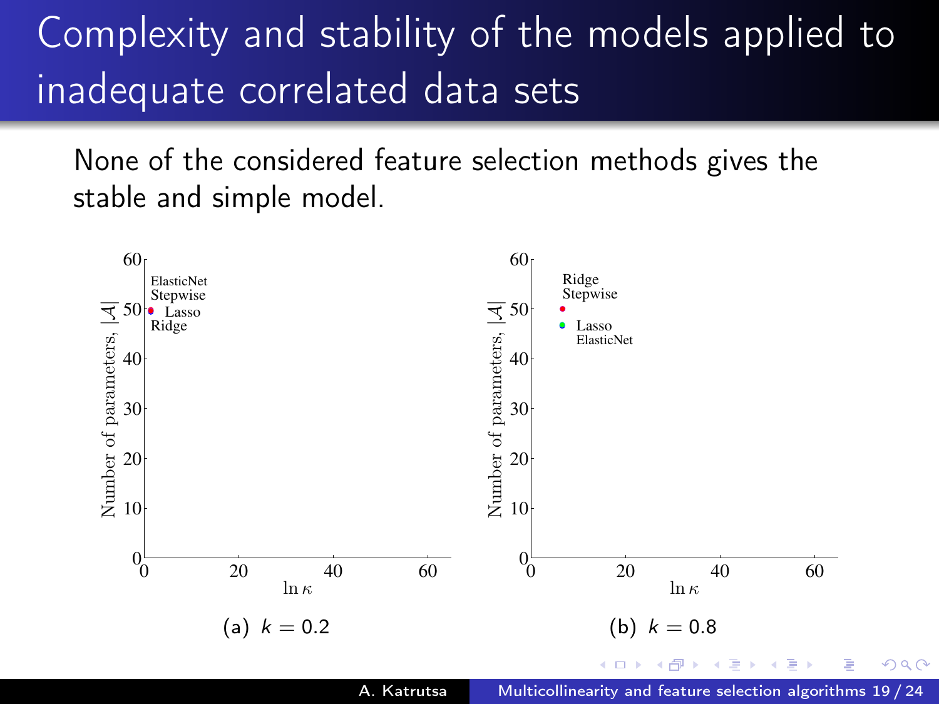# Complexity and stability of the models applied to inadequate correlated data sets

None of the considered feature selection methods gives the stable and simple model.

<span id="page-19-0"></span>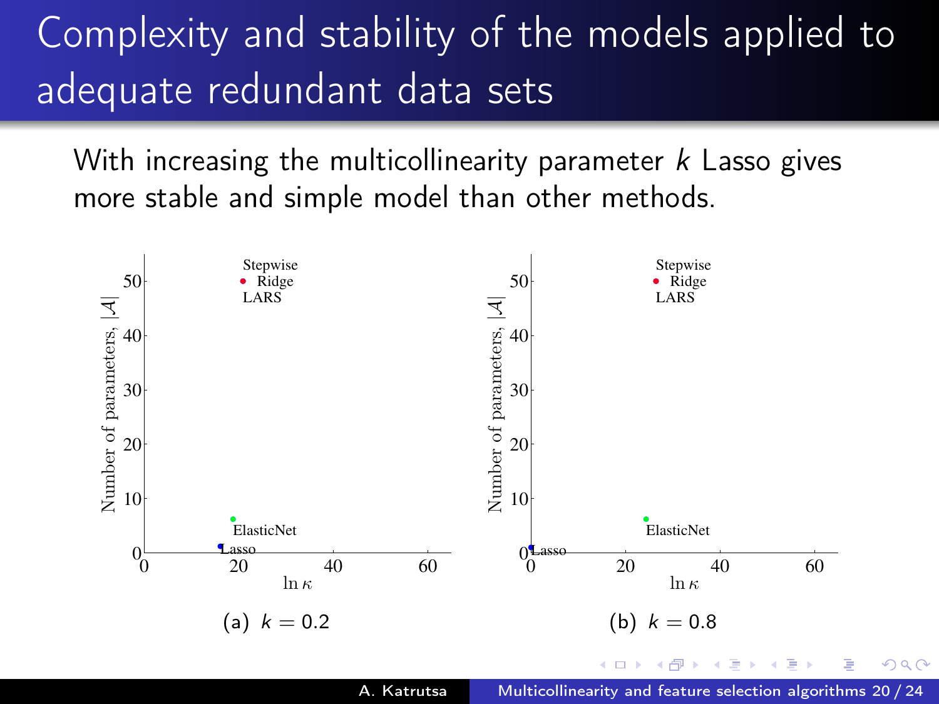# Complexity and stability of the models applied to adequate redundant data sets

With increasing the multicollinearity parameter  $k$  Lasso gives more stable and simple model than other methods.

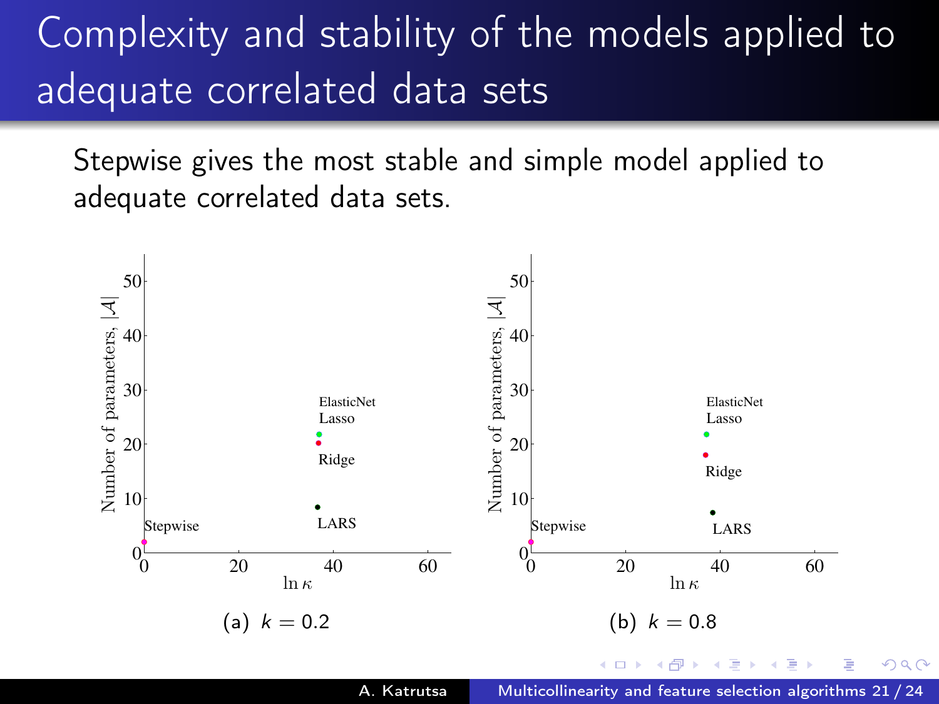# Complexity and stability of the models applied to adequate correlated data sets

Stepwise gives the most stable and simple model applied to adequate correlated data sets.

<span id="page-21-0"></span>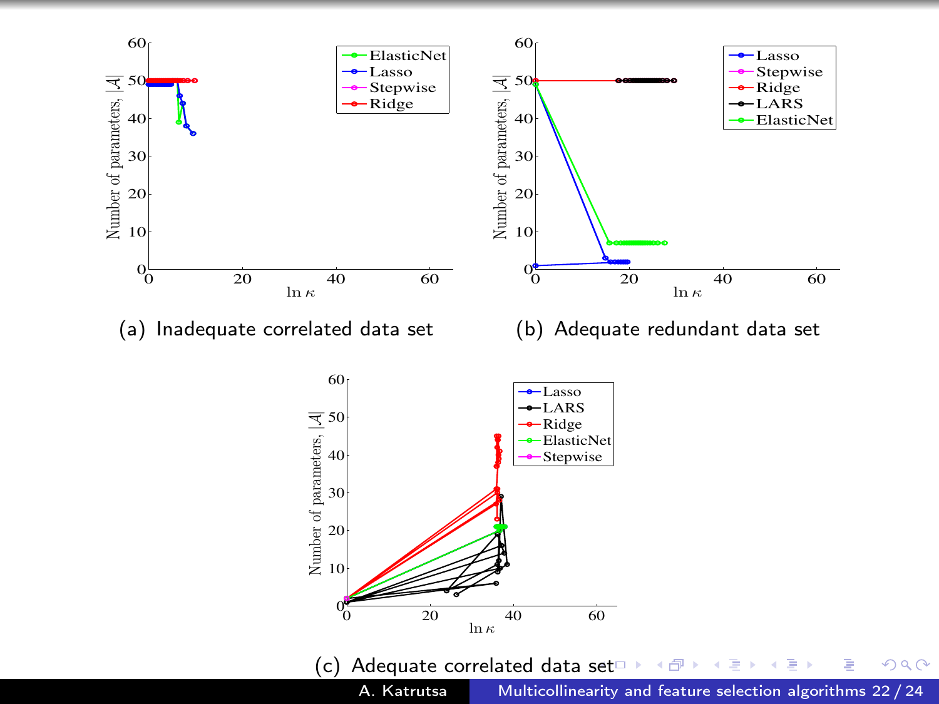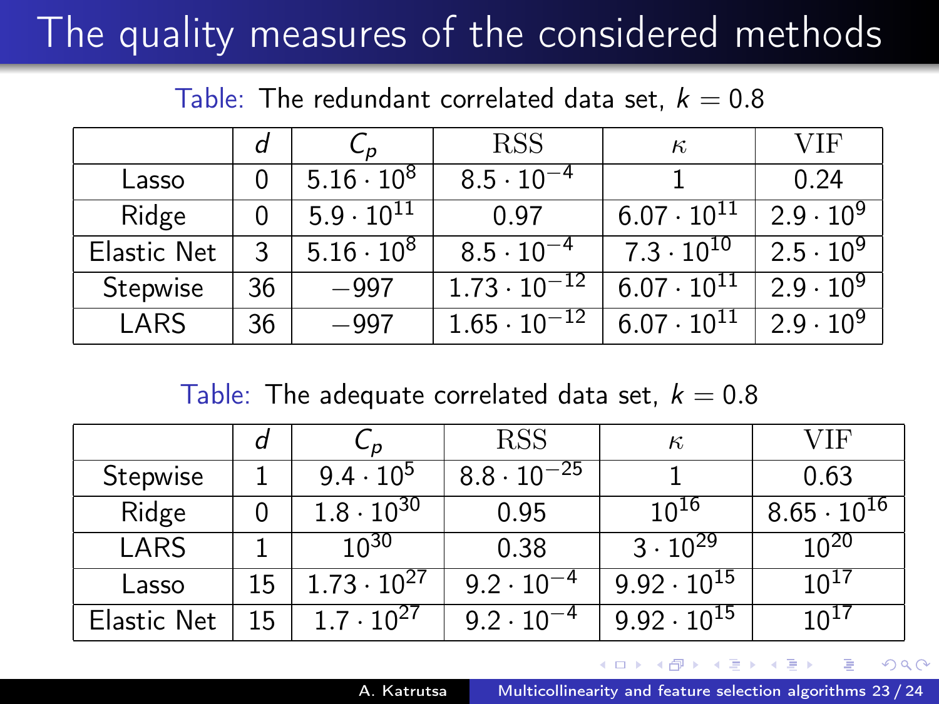# The quality measures of the considered methods

Table: The redundant correlated data set,  $k = 0.8$ 

|             |    | C n                 | <b>RSS</b>            | $\kappa$             | VIF                |
|-------------|----|---------------------|-----------------------|----------------------|--------------------|
| Lasso       |    | $5.16 \cdot 10^8$   | $8.5 \cdot 10^{-4}$   |                      | 0.24               |
| Ridge       |    | $5.9 \cdot 10^{11}$ | በ 97                  | $6.07 \cdot 10^{11}$ | $2.9 \cdot 10^{9}$ |
| Elastic Net | 3  | $5.16 \cdot 10^8$   | $8.5 \cdot 10^{-4}$   | $7.3 \cdot 10^{10}$  | $2.5 \cdot 10^{9}$ |
| Stepwise    | 36 | -997                | $1.73 \cdot 10^{-12}$ | $6.07 \cdot 10^{11}$ | $2.9 \cdot 10^{9}$ |
| LARS        | 36 | -997                | $1.65 \cdot 10^{-12}$ | $6.07 \cdot 10^{11}$ | $2.9 \cdot 10^{9}$ |

Table: The adequate correlated data set,  $k = 0.8$ 

|             | d  | ບ⊿                   | <b>RSS</b>           | $\kappa$             | VIF                  |
|-------------|----|----------------------|----------------------|----------------------|----------------------|
| Stepwise    |    | $9.4 \cdot 10^{5}$   | $8.8 \cdot 10^{-25}$ |                      | 0.63                 |
| Ridge       |    | $1.8 \cdot 10^{30}$  | 0.95                 | $10^{16}$            | $8.65 \cdot 10^{16}$ |
| LARS        |    | 10 <sup>30</sup>     | 0.38                 | $3 \cdot 10^{29}$    | $10^{20}$            |
| Lasso       | 15 | $1.73 \cdot 10^{27}$ | $9.2 \cdot 10^{-4}$  | $9.92 \cdot 10^{15}$ | $10^{17}$            |
| Elastic Net | 15 | $1.7 \cdot 10^{27}$  | $9.2 \cdot 10^{-4}$  | $9.92 \cdot 10^{15}$ | 10 <sup>17</sup>     |

つくへ